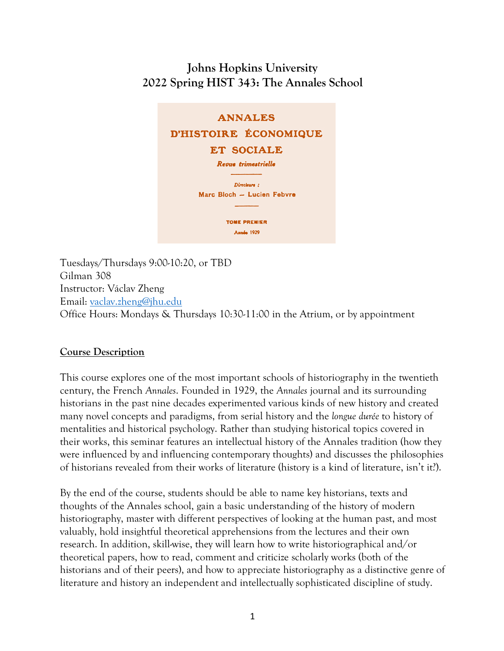# **Johns Hopkins University 2022 Spring HIST 343: The Annales School**

# **ANNALES** D'HISTOIRE ÉCONOMIQUE **ET SOCIALE**

Revue trimestrielle

Directeurs : Marc Bloch - Lucien Febvre

> **TOME PREMIER Année 1929**

Tuesdays/Thursdays 9:00-10:20, or TBD Gilman 308 Instructor: Václav Zheng Email: vaclav.zheng@jhu.edu Office Hours: Mondays & Thursdays 10:30-11:00 in the Atrium, or by appointment

#### **Course Description**

This course explores one of the most important schools of historiography in the twentieth century, the French *Annales*. Founded in 1929, the *Annales* journal and its surrounding historians in the past nine decades experimented various kinds of new history and created many novel concepts and paradigms, from serial history and the *longue durée* to history of mentalities and historical psychology. Rather than studying historical topics covered in their works, this seminar features an intellectual history of the Annales tradition (how they were influenced by and influencing contemporary thoughts) and discusses the philosophies of historians revealed from their works of literature (history is a kind of literature, isn't it?).

By the end of the course, students should be able to name key historians, texts and thoughts of the Annales school, gain a basic understanding of the history of modern historiography, master with different perspectives of looking at the human past, and most valuably, hold insightful theoretical apprehensions from the lectures and their own research. In addition, skill-wise, they will learn how to write historiographical and/or theoretical papers, how to read, comment and criticize scholarly works (both of the historians and of their peers), and how to appreciate historiography as a distinctive genre of literature and history an independent and intellectually sophisticated discipline of study.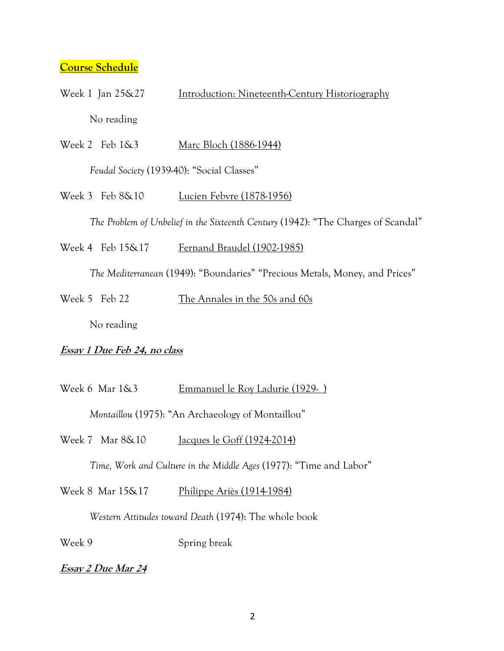#### **Course Schedule**

- Week 1 Jan 25&27 **Introduction: Nineteenth-Century Historiography** No reading
- Week 2 Feb 1&3 Marc Bloch (1886-1944)

*Feudal Society* (1939-40): "Social Classes"

Week 3 Feb 8&10 Lucien Febvre (1878-1956)

*The Problem of Unbelief in the Sixteenth Century* (1942): "The Charges of Scandal"

Week 4 Feb 15&17 Fernand Braudel (1902-1985)

*The Mediterranean* (1949): "Boundaries" "Precious Metals, Money, and Prices"

Week 5 Feb 22 The Annales in the 50s and 60s

No reading

#### **Essay 1 Due Feb 24, no class**

Week 6 Mar 1&3 Emmanuel le Roy Ladurie (1929- ) *Montaillou* (1975): "An Archaeology of Montaillou"

Week 7 Mar 8&10 Jacques le Goff (1924-2014)

*Time, Work and Culture in the Middle Ages* (1977): "Time and Labor"

Week 8 Mar 15&17 Philippe Ariès (1914-1984)

*Western Attitudes toward Death* (1974): The whole book

Week 9 Spring break

**Essay 2 Due Mar 24**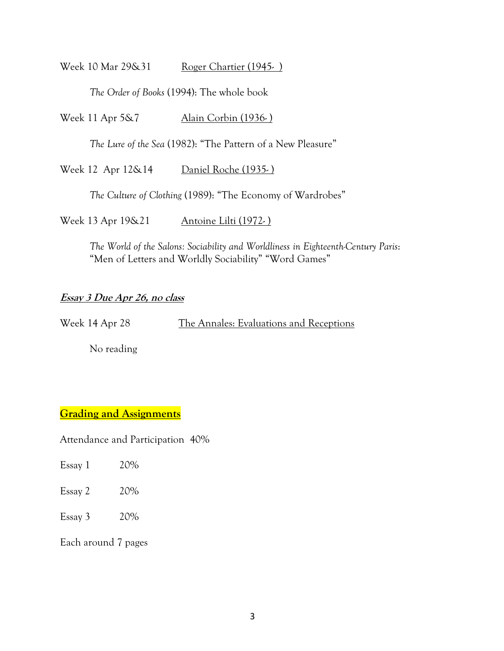Week 10 Mar 29&31 Roger Chartier (1945-)

*The Order of Books* (1994): The whole book

Week 11 Apr 5&7 Alain Corbin (1936-)

*The Lure of the Sea* (1982): "The Pattern of a New Pleasure"

Week 12 Apr 12&14 Daniel Roche (1935-)

*The Culture of Clothing* (1989): "The Economy of Wardrobes"

Week 13 Apr 19&21 Antoine Lilti (1972-)

*The World of the Salons: Sociability and Worldliness in Eighteenth-Century Paris*: "Men of Letters and Worldly Sociability" "Word Games"

#### **Essay 3 Due Apr 26, no class**

Week 14 Apr 28 The Annales: Evaluations and Receptions

No reading

#### **Grading and Assignments**

Attendance and Participation 40%

- Essay  $2 \times 20\%$
- Essay 3 20%

Each around 7 pages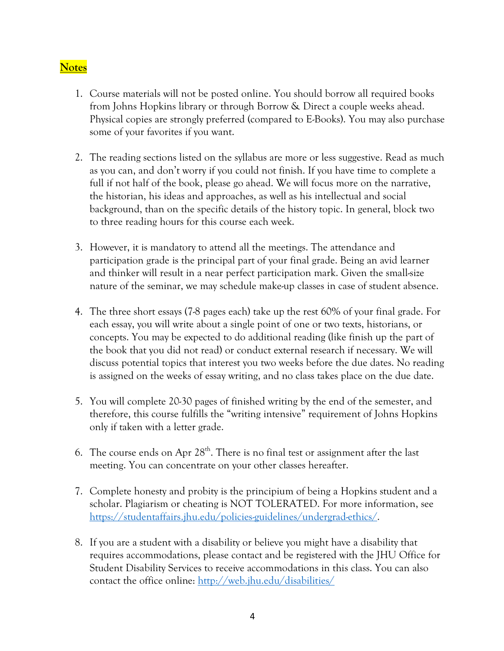## **Notes**

- 1. Course materials will not be posted online. You should borrow all required books from Johns Hopkins library or through Borrow & Direct a couple weeks ahead. Physical copies are strongly preferred (compared to E-Books). You may also purchase some of your favorites if you want.
- 2. The reading sections listed on the syllabus are more or less suggestive. Read as much as you can, and don't worry if you could not finish. If you have time to complete a full if not half of the book, please go ahead. We will focus more on the narrative, the historian, his ideas and approaches, as well as his intellectual and social background, than on the specific details of the history topic. In general, block two to three reading hours for this course each week.
- 3. However, it is mandatory to attend all the meetings. The attendance and participation grade is the principal part of your final grade. Being an avid learner and thinker will result in a near perfect participation mark. Given the small-size nature of the seminar, we may schedule make-up classes in case of student absence.
- 4. The three short essays (7-8 pages each) take up the rest 60% of your final grade. For each essay, you will write about a single point of one or two texts, historians, or concepts. You may be expected to do additional reading (like finish up the part of the book that you did not read) or conduct external research if necessary. We will discuss potential topics that interest you two weeks before the due dates. No reading is assigned on the weeks of essay writing, and no class takes place on the due date.
- 5. You will complete 20-30 pages of finished writing by the end of the semester, and therefore, this course fulfills the "writing intensive" requirement of Johns Hopkins only if taken with a letter grade.
- 6. The course ends on Apr  $28<sup>th</sup>$ . There is no final test or assignment after the last meeting. You can concentrate on your other classes hereafter.
- 7. Complete honesty and probity is the principium of being a Hopkins student and a scholar. Plagiarism or cheating is NOT TOLERATED. For more information, see https://studentaffairs.jhu.edu/policies-guidelines/undergrad-ethics/.
- 8. If you are a student with a disability or believe you might have a disability that requires accommodations, please contact and be registered with the JHU Office for Student Disability Services to receive accommodations in this class. You can also contact the office online: http://web.jhu.edu/disabilities/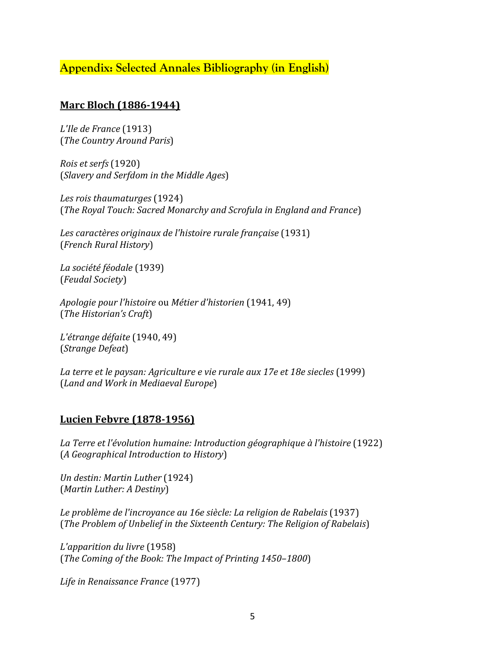## **Appendix: Selected Annales Bibliography (in English)**

#### **Marc Bloch (1886-1944)**

*L'Ile de France* (1913) (*The Country Around Paris*)

*Rois et serfs* (1920) (*Slavery and Serfdom in the Middle Ages*)

*Les rois thaumaturges* (1924) (*The Royal Touch: Sacred Monarchy and Scrofula in England and France*)

Les caractères originaux de l'histoire rurale française (1931) (*French Rural History*)

*La société féodale* (1939) (*Feudal Society*)

*Apologie pour l'histoire* ou *Métier d'historien* (1941, 49) (*The Historian's Craft*) 

*L'étrange défaite* (1940, 49) (*Strange Defeat*)

La terre et le paysan: Agriculture e vie rurale aux 17e et 18e siecles (1999) (*Land and Work in Mediaeval Europe*)

## **Lucien Febvre (1878-1956)**

La Terre et l'évolution humaine: Introduction géographique à l'histoire (1922) (*A Geographical Introduction to History*)

*Un destin: Martin Luther* (1924) (*Martin Luther: A Destiny*)

Le problème de l'incroyance au 16e siècle: La religion de Rabelais (1937) (*The Problem of Unbelief in the Sixteenth Century: The Religion of Rabelais*)

*L'apparition du livre* (1958) (*The Coming of the Book: The Impact of Printing 1450-1800*)

*Life in Renaissance France* (1977)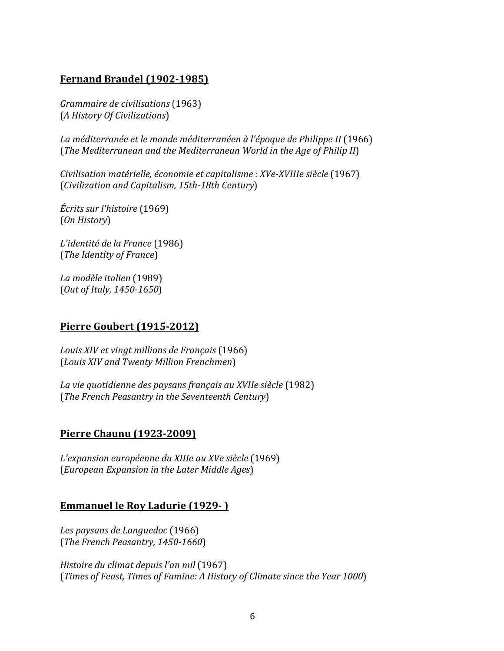### **Fernand Braudel (1902-1985)**

*Grammaire de civilisations* (1963) (*A History Of Civilizations*)

La méditerranée et le monde méditerranéen à l'époque de Philippe II (1966) (*The Mediterranean and the Mediterranean World in the Age of Philip II*)

*Civilisation matérielle, économie et capitalisme : XVe-XVIIIe siècle* (1967) (*Civilization and Capitalism, 15th-18th Century*) 

*Écrits sur l'histoire* (1969) (*On History*)

*L'identité de la France* (1986) (*The Identity of France*)

*La modèle italien* (1989) (*Out of Italy, 1450-1650*)

#### **Pierre Goubert (1915-2012)**

Louis XIV et vingt millions de Français (1966) (*Louis XIV and Twenty Million Frenchmen*)

*La vie quotidienne des paysans français au XVIIe siècle* (1982) (*The French Peasantry in the Seventeenth Century*)

## **Pierre Chaunu (1923-2009)**

*L'expansion européenne du XIIIe au XVe siècle* (1969) (*European Expansion in the Later Middle Ages*)

#### **Emmanuel le Roy Ladurie (1929-)**

*Les paysans de Languedoc* (1966) (*The French Peasantry, 1450-1660*)

*Histoire du climat depuis l'an mil* (1967) (*Times of Feast, Times of Famine: A History of Climate since the Year 1000*)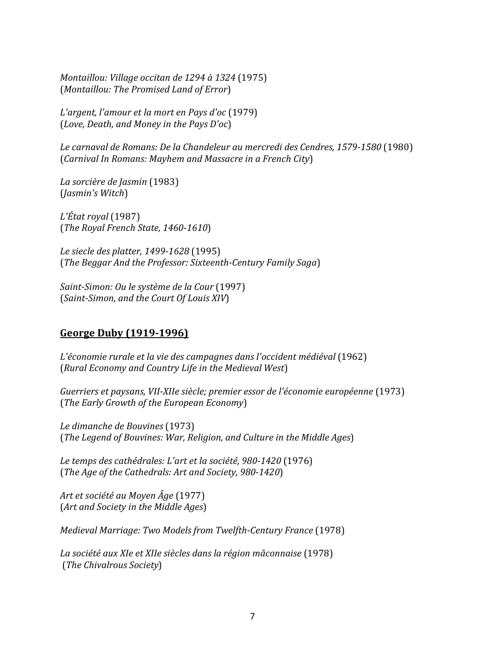*Montaillou: Village occitan de 1294 à 1324* (1975) (*Montaillou: The Promised Land of Error*)

*L'argent, l'amour et la mort en Pays d'oc* (1979) (*Love, Death, and Money in the Pays D'oc*)

Le carnaval de Romans: De la Chandeleur au mercredi des Cendres, 1579-1580 (1980) (*Carnival In Romans: Mayhem and Massacre in a French City*)

*La sorcière de Jasmin* (1983) (*Jasmin's Witch*)

*L'État royal* (1987) (*The Royal French State, 1460-1610*)

*Le siecle des platter, 1499-1628* (1995) (*The Beggar And the Professor: Sixteenth-Century Family Saga*)

*Saint-Simon: Ou le système de la Cour* (1997) (*Saint-Simon, and the Court Of Louis XIV*)

#### **George Duby (1919-1996)**

*L'économie rurale et la vie des campagnes dans l'occident médiéval* (1962) (*Rural Economy and Country Life in the Medieval West*)

Guerriers et paysans, VII-XIIe siècle; premier essor de l'économie européenne (1973) (*The Early Growth of the European Economy*)

*Le dimanche de Bouvines* (1973) (*The Legend of Bouvines: War, Religion, and Culture in the Middle Ages*)

Le temps des cathédrales: L'art et la société, 980-1420 (1976) (*The Age of the Cathedrals: Art and Society, 980-1420*)

*Art et société au Moyen Âge* (1977) (*Art and Society in the Middle Ages*)

*Medieval Marriage: Two Models from Twelfth-Century France* (1978)

*La société aux XIe et XIIe siècles dans la région mâconnaise* (1978) (*The Chivalrous Society*)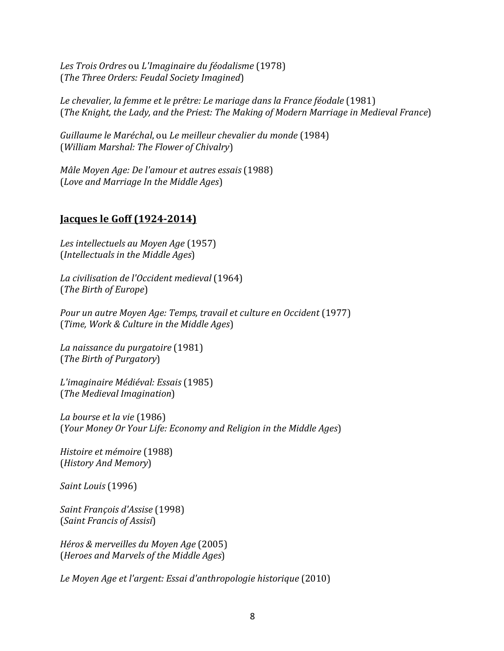*Les Trois Ordres* ou *L'Imaginaire du féodalisme* (1978) (*The Three Orders: Feudal Society Imagined*)

Le chevalier, la femme et le prêtre: Le mariage dans la France féodale (1981) (*The Knight, the Lady, and the Priest: The Making of Modern Marriage in Medieval France*)

Guillaume le Maréchal, ou *Le meilleur chevalier du monde* (1984) (*William Marshal: The Flower of Chivalry*)

*Mâle Moyen Age: De l'amour et autres essais* (1988) (*Love and Marriage In the Middle Ages*)

#### **<u>Jacques le Goff (1924-2014)</u>**

Les intellectuels au Moyen Age (1957) (*Intellectuals in the Middle Ages*)

*La civilisation de l'Occident medieval* (1964) (*The Birth of Europe*)

*Pour un autre Moyen Age: Temps, travail et culture en Occident* (1977) (*Time, Work & Culture in the Middle Ages*)

*La naissance du purgatoire* (1981) (*The Birth of Purgatory*)

*L'imaginaire Médiéval: Essais* (1985) (*The Medieval Imagination*)

*La bourse et la vie* (1986) (*Your Money Or Your Life: Economy and Religion in the Middle Ages*)

*Histoire et mémoire* (1988) (*History And Memory*)

*Saint Louis* (1996)

*Saint François d'Assise* (1998) (*Saint Francis of Assisi*)

*Héros & merveilles du Moyen Age* (2005) (*Heroes and Marvels of the Middle Ages*)

Le Moyen Age et l'argent: Essai d'anthropologie historique (2010)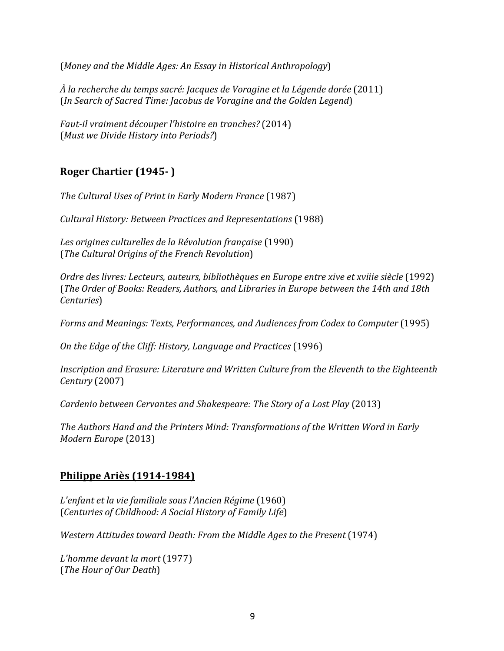(Money and the Middle Ages: An Essay in Historical Anthropology)

*À la recherche du temps sacré: Jacques de Voragine et la Légende dorée* (2011) (*In Search of Sacred Time: Jacobus de Voragine and the Golden Legend*)

*Faut-il vraiment découper l'histoire en tranches?* (2014) (*Must we Divide History into Periods?*)

## **Roger Chartier (1945-)**

The Cultural Uses of Print in Early Modern France (1987)

*Cultural History: Between Practices and Representations* (1988)

Les origines culturelles de la Révolution française (1990) (*The Cultural Origins of the French Revolution*) 

*Ordre des livres: Lecteurs, auteurs, bibliothèques en Europe entre xive et xviiie siècle* (1992) (*The Order of Books: Readers, Authors, and Libraries in Europe between the 14th and 18th Centuries*)

*Forms and Meanings: Texts, Performances, and Audiences from Codex to Computer* (1995)

*On the Edge of the Cliff: History, Language and Practices* (1996)

*Inscription and Erasure: Literature and Written Culture from the Eleventh to the Eighteenth Century* (2007)

*Cardenio between Cervantes and Shakespeare: The Story of a Lost Play* (2013)

The Authors Hand and the Printers Mind: Transformations of the Written Word in Early *Modern Europe* (2013)

## **Philippe Ariès (1914-1984)**

*L'enfant et la vie familiale sous l'Ancien Régime* (1960) (*Centuries of Childhood: A Social History of Family Life*)

*Western Attitudes toward Death: From the Middle Ages to the Present* (1974)

*L'homme devant la mort* (1977) (*The Hour of Our Death*)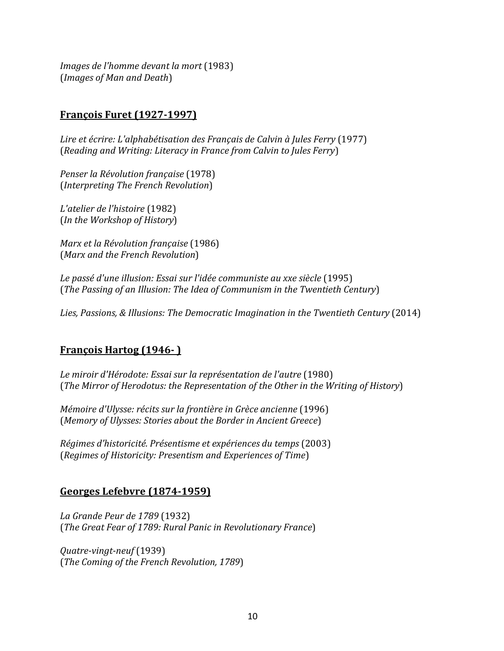*Images de l'homme devant la mort* (1983) (*Images of Man and Death*)

#### **François Furet (1927-1997)**

Lire et écrire: L'alphabétisation des Français de Calvin à Jules Ferry (1977) (*Reading and Writing: Literacy in France from Calvin to Jules Ferry*)

*Penser la Révolution française* (1978) (*Interpreting The French Revolution*)

*L'atelier de l'histoire* (1982) (*In the Workshop of History*)

*Marx et la Révolution française* (1986) (*Marx and the French Revolution*)

Le passé d'une illusion: Essai sur l'idée communiste au xxe siècle (1995) (*The Passing of an Illusion: The Idea of Communism in the Twentieth Century*)

Lies, Passions, & Illusions: The Democratic Imagination in the Twentieth Century (2014)

#### **François Hartog (1946-)**

Le miroir d'Hérodote: Essai sur la représentation de l'autre (1980) (*The Mirror of Herodotus: the Representation of the Other in the Writing of History*)

*Mémoire d'Ulysse: récits sur la frontière in Grèce ancienne* (1996) (*Memory of Ulysses: Stories about the Border in Ancient Greece*)

*Régimes d'historicité. Présentisme et expériences du temps* (2003) (*Regimes of Historicity: Presentism and Experiences of Time*)

#### **Georges Lefebvre (1874-1959)**

*La Grande Peur de 1789* (1932) (*The Great Fear of 1789: Rural Panic in Revolutionary France*)

*Quatre-vingt-neuf* (1939) (*The Coming of the French Revolution, 1789*)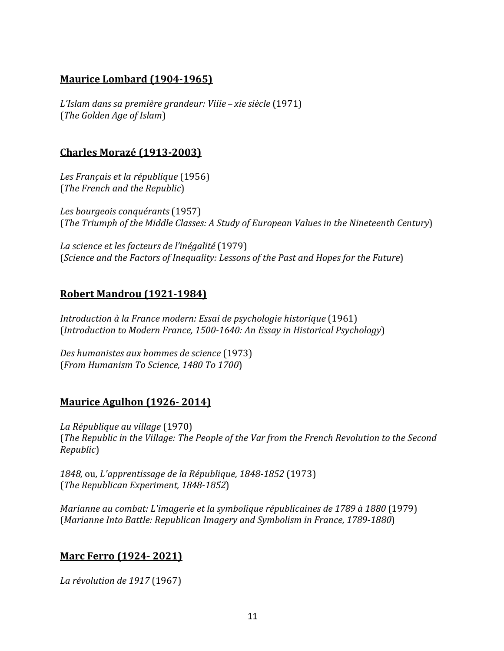### **Maurice Lombard (1904-1965)**

*L'Islam dans sa première grandeur: Viiie* – xie siècle (1971) (*The Golden Age of Islam*)

### **Charles Morazé (1913-2003)**

*Les Français et la république* (1956) (*The French and the Republic*)

*Les bourgeois conquérants* (1957) (*The Triumph of the Middle Classes: A Study of European Values in the Nineteenth Century*)

*La science et les facteurs de l'inégalité* (1979) (*Science and the Factors of Inequality: Lessons of the Past and Hopes for the Future*)

## **Robert Mandrou (1921-1984)**

*Introduction* à la France modern: Essai de psychologie historique (1961) (*Introduction to Modern France, 1500-1640: An Essay in Historical Psychology*)

*Des humanistes aux hommes de science* (1973) (*From Humanism To Science, 1480 To 1700*)

#### **Maurice Agulhon (1926- 2014)**

*La République au village* (1970) (*The Republic in the Village: The People of the Var from the French Revolution to the Second Republic*)

*1848,* ou*, L'apprentissage de la République, 1848-1852* (1973) (*The Republican Experiment, 1848-1852*)

*Marianne au combat: L'imagerie et la symbolique républicaines de 1789 à 1880* (1979) (*Marianne Into Battle: Republican Imagery and Symbolism in France, 1789-1880*)

#### **Marc Ferro (1924-2021)**

*La révolution de 1917* (1967)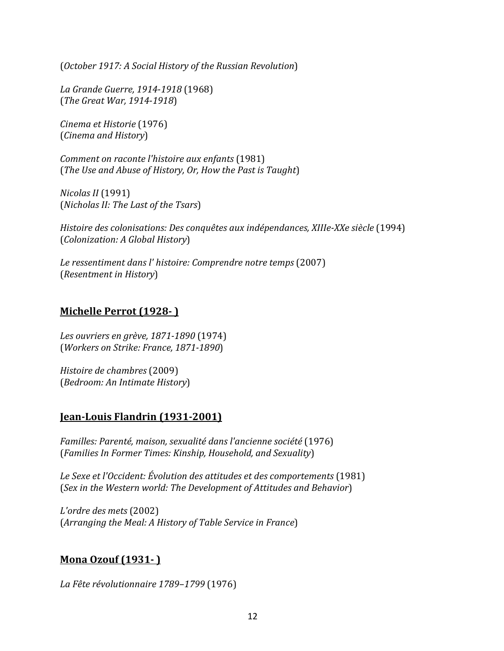(*October 1917: A Social History of the Russian Revolution*)

*La Grande Guerre, 1914-1918* (1968) (*The Great War, 1914-1918*)

*Cinema et Historie* (1976) (*Cinema and History*)

*Comment on raconte l'histoire aux enfants* (1981) (*The Use and Abuse of History, Or, How the Past is Taught*)

*Nicolas II* (1991) (*Nicholas II: The Last of the Tsars*)

*Histoire des colonisations: Des conquêtes aux indépendances, XIIIe-XXe siècle* (1994) (*Colonization: A Global History*)

Le ressentiment dans l' histoire: Comprendre notre temps (2007) (*Resentment in History*)

#### **Michelle Perrot (1928- )**

*Les ouvriers en grève, 1871-1890* (1974) (*Workers on Strike: France, 1871-1890*)

*Histoire de chambres* (2009) (*Bedroom: An Intimate History*)

#### **Jean-Louis Flandrin (1931-2001)**

*Familles: Parenté, maison, sexualité dans l'ancienne société* (1976) (*Families In Former Times: Kinship, Household, and Sexuality*)

Le Sexe et l'Occident: Évolution des attitudes et des comportements (1981) (Sex in the Western world: The Development of Attitudes and Behavior)

*L'ordre des mets* (2002) (Arranging the Meal: A History of Table Service in France)

## **Mona Ozouf (1931- )**

*La Fête révolutionnaire 1789–1799* (1976)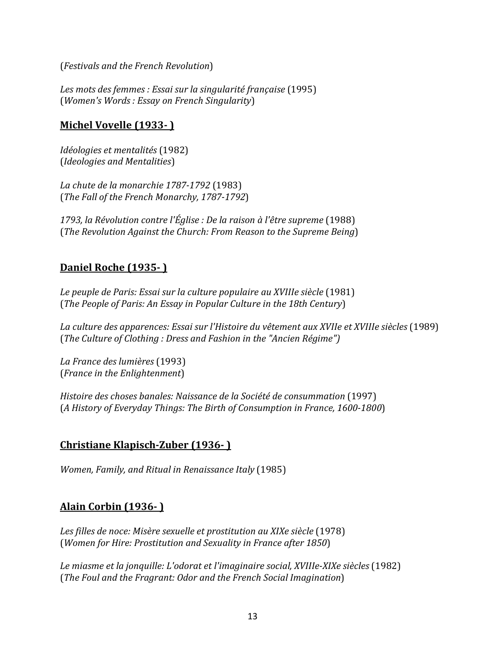(*Festivals and the French Revolution*)

Les mots des femmes : Essai sur la singularité française (1995) (*Women's Words : Essay on French Singularity*)

### **Michel Vovelle (1933-)**

*Idéologies et mentalités* (1982) (*Ideologies and Mentalities*)

*La chute de la monarchie 1787-1792* (1983) (*The Fall of the French Monarchy, 1787-1792*)

1793, la Révolution contre l'Église : De la raison à l'être supreme (1988) (*The Revolution Against the Church: From Reason to the Supreme Being*)

## **Daniel Roche (1935- )**

Le peuple de Paris: Essai sur la culture populaire au XVIIIe siècle (1981) (*The People of Paris: An Essay in Popular Culture in the 18th Century*)

La culture des apparences: Essai sur l'Histoire du vêtement aux XVIIe et XVIIIe siècles (1989) (The Culture of Clothing : Dress and Fashion in the "Ancien Régime")

*La France des lumières* (1993) (*France in the Enlightenment*)

*Histoire des choses banales: Naissance de la Société de consummation* (1997) (*A History of Everyday Things: The Birth of Consumption in France, 1600-1800*)

## **Christiane Klapisch-Zuber (1936- )**

*Women, Family, and Ritual in Renaissance Italy* (1985)

## **Alain Corbin (1936- )**

Les filles de noce: Misère sexuelle et prostitution au XIXe siècle (1978) (*Women for Hire: Prostitution and Sexuality in France after 1850*)

Le miasme et la jonquille: L'odorat et l'imaginaire social, XVIIIe-XIXe siècles (1982) (*The Foul and the Fragrant: Odor and the French Social Imagination*)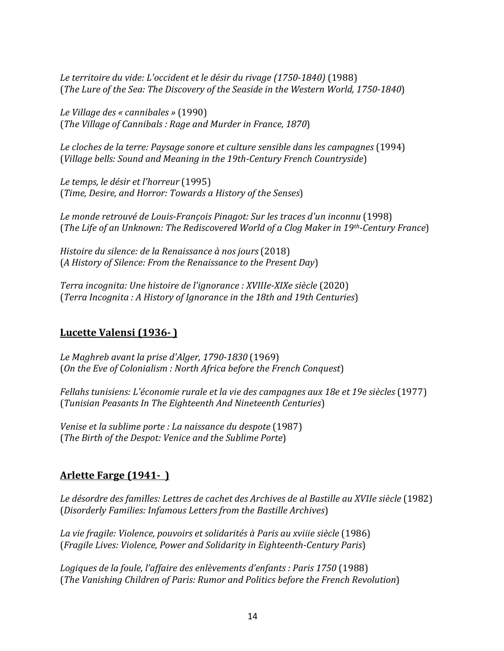Le territoire du vide: L'occident et le désir du rivage (1750-1840) (1988) (*The Lure of the Sea: The Discovery of the Seaside in the Western World, 1750-1840*)

*Le Village des « cannibales »* (1990) (*The Village of Cannibals*: Rage and Murder in France, 1870)

Le cloches de la terre: Paysage sonore et culture sensible dans les campagnes (1994) (Village bells: Sound and Meaning in the 19th-Century French Countryside)

*Le temps, le désir et l'horreur* (1995) (*Time, Desire, and Horror: Towards a History of the Senses*)

Le monde retrouvé de Louis-François Pinagot: Sur les traces d'un inconnu (1998) (*The Life of an Unknown: The Rediscovered World of a Clog Maker in 19th-Century France*)

*Histoire du silence: de la Renaissance à nos jours* (2018) (*A History of Silence: From the Renaissance to the Present Day*)

*Terra incognita: Une histoire de l'ignorance : XVIIIe-XIXe siècle* (2020) (*Terra Incognita : A History of Ignorance in the 18th and 19th Centuries*)

#### **Lucette Valensi (1936- )**

*Le Maghreb avant la prise d'Alger, 1790-1830* (1969) (On the Eve of Colonialism : North Africa before the French Conquest)

*Fellahs tunisiens: L'économie rurale et la vie des campagnes aux 18e et 19e siècles* (1977) (*Tunisian Peasants In The Eighteenth And Nineteenth Centuries*)

*Venise et la sublime porte : La naissance du despote* (1987) (The Birth of the Despot: Venice and the Sublime Porte)

#### **Arlette Farge (1941-)**

Le désordre des familles: Lettres de cachet des Archives de al Bastille au XVIIe siècle (1982) (*Disorderly Families: Infamous Letters from the Bastille Archives*)

La vie fragile: Violence, pouvoirs et solidarités à Paris au xviiie siècle (1986) (*Fragile Lives: Violence, Power and Solidarity in Eighteenth-Century Paris*)

*Logiques de la foule, l'affaire des enlèvements d'enfants : Paris 1750* (1988) (*The Vanishing Children of Paris: Rumor and Politics before the French Revolution*)